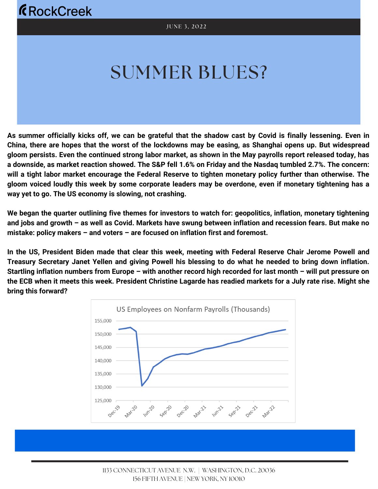# SUMMER BLUES?

As summer officially kicks off, we can be grateful that the shadow cast by Covid is finally lessening. Even in China, there are hopes that the worst of the lockdowns may be easing, as Shanghai opens up. But widespread gloom persists. Even the continued strong labor market, as shown in the May payrolls report released today, has a downside, as market reaction showed. The S&P fell 1.6% on Friday and the Nasdag tumbled 2.7%. The concern: will a tight labor market encourage the Federal Reserve to tighten monetary policy further than otherwise. The gloom voiced loudly this week by some corporate leaders may be overdone, even if monetary tightening has a **way yet to go. The US economy is slowing, not crashing.**

We began the guarter outlining five themes for investors to watch for: geopolitics, inflation, monetary tightening and jobs and growth - as well as Covid. Markets have swung between inflation and recession fears. But make no **mistake: policy makers – and voters – are focused on inflation first and foremost.**

In the US, President Biden made that clear this week, meeting with Federal Reserve Chair Jerome Powell and Treasury Secretary Janet Yellen and giving Powell his blessing to do what he needed to bring down inflation. Startling inflation numbers from Europe – with another record high recorded for last month – will put pressure on the ECB when it meets this week. President Christine Lagarde has readied markets for a July rate rise. Might she **bring this forward?**

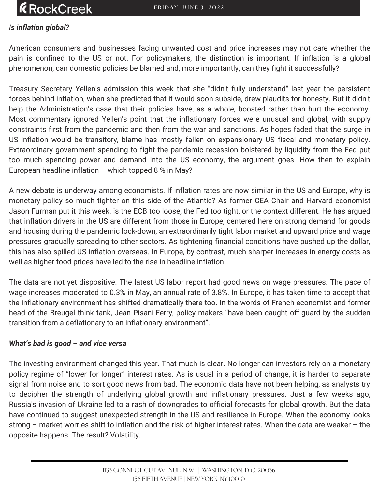### **ÆRockCreek**

#### *Is inflation global?*

American consumers and businesses facing unwanted cost and price increases may not care whether the pain is confined to the US or not. For policymakers, the distinction is important. If inflation is a global phenomenon, can domestic policies be blamed and, more importantly, can they fight it successfully?

Treasury Secretary Yellen's admission this week that she "didn't fully understand" last year the persistent forces behind inflation, when she predicted that it would soon subside, drew plaudits for honesty. But it didn't help the Administration's case that their policies have, as a whole, boosted rather than hurt the economy. Most commentary ignored Yellen's point that the inflationary forces were unusual and global, with supply constraints first from the pandemic and then from the war and sanctions. As hopes faded that the surge in US inflation would be transitory, blame has mostly fallen on expansionary US fiscal and monetary policy. Extraordinary government spending to fight the pandemic recession bolstered by liquidity from the Fed put too much spending power and demand into the US economy, the argument goes. How then to explain European headline inflation – which topped 8 % in May?

A new debate is underway among economists. If inflation rates are now similar in the US and Europe, why is monetary policy so much tighter on this side of the Atlantic? As former CEA Chair and Harvard economist Jason Furman put it this week: is the ECB too loose, the Fed too tight, or the context different. He has argued that inflation drivers in the US are different from those in Europe, centered here on strong demand for goods and housing during the pandemic lock-down, an extraordinarily tight labor market and upward price and wage pressures gradually spreading to other sectors. As tightening financial conditions have pushed up the dollar, this has also spilled US inflation overseas. In Europe, by contrast, much sharper increases in energy costs as well as higher food prices have led to the rise in headline inflation.

The data are not yet dispositive. The latest US labor report had good news on wage pressures. The pace of wage increases moderated to 0.3% in May, an annual rate of 3.8%. In Europe, it has taken time to accept that the inflationary environment has shifted dramatically there [too](https://www.project-syndicate.org/commentary/eurozone). In the words of French economist and former head of the Breugel think tank, Jean Pisani-Ferry, policy makers "have been caught off-guard by the sudden transition from a deflationary to an inflationary environment".

#### *What's bad is good – and vice versa*

The investing environment changed this year. That much is clear. No longer can investors rely on a monetary policy regime of "lower for longer" interest rates. As is usual in a period of change, it is harder to separate signal from noise and to sort good news from bad. The economic data have not been helping, as analysts try to decipher the strength of underlying global growth and inflationary pressures. Just a few weeks ago, Russia's invasion of Ukraine led to a rash of downgrades to official forecasts for global growth. But the data have continued to suggest unexpected strength in the US and resilience in Europe. When the economy looks strong – market worries shift to inflation and the risk of higher interest rates. When the data are weaker – the opposite happens. The result? Volatility.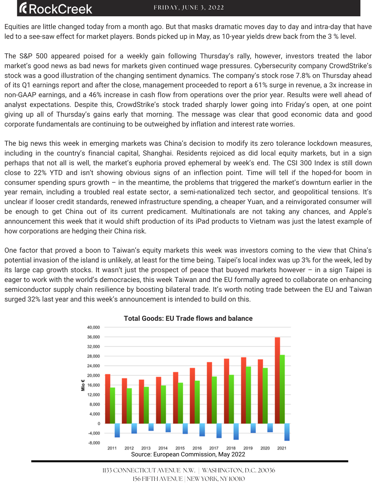## **RockCreek**

Equities are little changed today from a month ago. But that masks dramatic moves day to day and intra-day that have led to a see-saw effect for market players. Bonds picked up in May, as 10-year yields drew back from the 3 % level.

The S&P 500 appeared poised for a weekly gain following Thursday's rally, however, investors treated the labor market's good news as bad news for markets given continued wage pressures. Cybersecurity company CrowdStrike's stock was a good illustration of the changing sentiment dynamics. The company's stock rose 7.8% on Thursday ahead of its Q1 earnings report and after the close, management proceeded to report a 61% surge in revenue, a 3x increase in non-GAAP earnings, and a 46% increase in cash flow from operations over the prior year. Results were well ahead of analyst expectations. Despite this, CrowdStrike's stock traded sharply lower going into Friday's open, at one point giving up all of Thursday's gains early that morning. The message was clear that good economic data and good corporate fundamentals are continuing to be outweighed by inflation and interest rate worries.

The big news this week in emerging markets was China's decision to modify its zero tolerance lockdown measures, including in the country's financial capital, Shanghai. Residents rejoiced as did local equity markets, but in a sign perhaps that not all is well, the market's euphoria proved ephemeral by week's end. The CSI 300 Index is still down close to 22% YTD and isn't showing obvious signs of an inflection point. Time will tell if the hoped-for boom in consumer spending spurs growth – in the meantime, the problems that triggered the market's downturn earlier in the year remain, including a troubled real estate sector, a semi-nationalized tech sector, and geopolitical tensions. It's unclear if looser credit standards, renewed infrastructure spending, a cheaper Yuan, and a reinvigorated consumer will be enough to get China out of its current predicament. Multinationals are not taking any chances, and Apple's announcement this week that it would shift production of its iPad products to Vietnam was just the latest example of how corporations are hedging their China risk.

One factor that proved a boon to Taiwan's equity markets this week was investors coming to the view that China's potential invasion of the island is unlikely, at least for the time being. Taipei's local index was up 3% for the week, led by its large cap growth stocks. It wasn't just the prospect of peace that buoyed markets however – in a sign Taipei is eager to work with the world's democracies, this week Taiwan and the EU formally agreed to collaborate on enhancing semiconductor supply chain resilience by boosting bilateral trade. It's worth noting trade between the EU and Taiwan surged 32% last year and this week's announcement is intended to build on this.



#### **Total Goods: EU Trade flows and balance**

<sup>1133</sup> CONNECTICUT AVENUE N.W. | WASHINGTON, D.C. 20036 156 FIFTH AVENUE | NEW YORK, NY 10010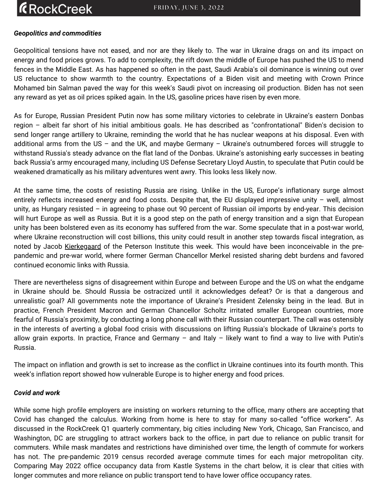#### *Geopolitics and commodities*

Geopolitical tensions have not eased, and nor are they likely to. The war in Ukraine drags on and its impact on energy and food prices grows. To add to complexity, the rift down the middle of Europe has pushed the US to mend fences in the Middle East. As has happened so often in the past, Saudi Arabia's oil dominance is winning out over US reluctance to show warmth to the country. Expectations of a Biden visit and meeting with Crown Prince Mohamed bin Salman paved the way for this week's Saudi pivot on increasing oil production. Biden has not seen any reward as yet as oil prices spiked again. In the US, gasoline prices have risen by even more.

As for Europe, Russian President Putin now has some military victories to celebrate in Ukraine's eastern Donbas region – albeit far short of his initial ambitious goals. He has described as "confrontational" Biden's decision to send longer range artillery to Ukraine, reminding the world that he has nuclear weapons at his disposal. Even with additional arms from the US – and the UK, and maybe Germany – Ukraine's outnumbered forces will struggle to withstand Russia's steady advance on the flat land of the Donbas. Ukraine's astonishing early successes in beating back Russia's army encouraged many, including US Defense Secretary Lloyd Austin, to speculate that Putin could be weakened dramatically as his military adventures went awry. This looks less likely now.

At the same time, the costs of resisting Russia are rising. Unlike in the US, Europe's inflationary surge almost entirely reflects increased energy and food costs. Despite that, the EU displayed impressive unity – well, almost unity, as Hungary resisted – in agreeing to phase out 90 percent of Russian oil imports by end-year. This decision will hurt Europe as well as Russia. But it is a good step on the path of energy transition and a sign that European unity has been bolstered even as its economy has suffered from the war. Some speculate that in a post-war world, where Ukraine reconstruction will cost billions, this unity could result in another step towards fiscal integration, as noted by Jacob [Kierkegaard](https://www.piie.com/blogs/realtime-economic-issues-) of the Peterson Institute this week. This would have been inconceivable in the prepandemic and pre-war world, where former German Chancellor Merkel resisted sharing debt burdens and favored continued economic links with Russia.

There are nevertheless signs of disagreement within Europe and between Europe and the US on what the endgame in Ukraine should be. Should Russia be ostracized until it acknowledges defeat? Or is that a dangerous and unrealistic goal? All governments note the importance of Ukraine's President Zelensky being in the lead. But in practice, French President Macron and German Chancellor Scholtz irritated smaller European countries, more fearful of Russia's proximity, by conducting a long phone call with their Russian counterpart. The call was ostensibly in the interests of averting a global food crisis with discussions on lifting Russia's blockade of Ukraine's ports to allow grain exports. In practice, France and Germany – and Italy – likely want to find a way to live with Putin's Russia.

The impact on inflation and growth is set to increase as the conflict in Ukraine continues into its fourth month. This week's inflation report showed how vulnerable Europe is to higher energy and food prices.

#### *Covid and work*

While some high profile employers are insisting on workers returning to the office, many others are accepting that Covid has changed the calculus. Working from home is here to stay for many so-called "office workers". As discussed in the RockCreek Q1 quarterly commentary, big cities including New York, Chicago, San Francisco, and Washington, DC are struggling to attract workers back to the office, in part due to reliance on public transit for commuters. While mask mandates and restrictions have diminished over time, the length of commute for workers has not. The pre-pandemic 2019 census recorded average commute times for each major metropolitan city. Comparing May 2022 office occupancy data from Kastle Systems in the chart below, it is clear that cities with longer commutes and more reliance on public transport tend to have lower office occupancy rates.